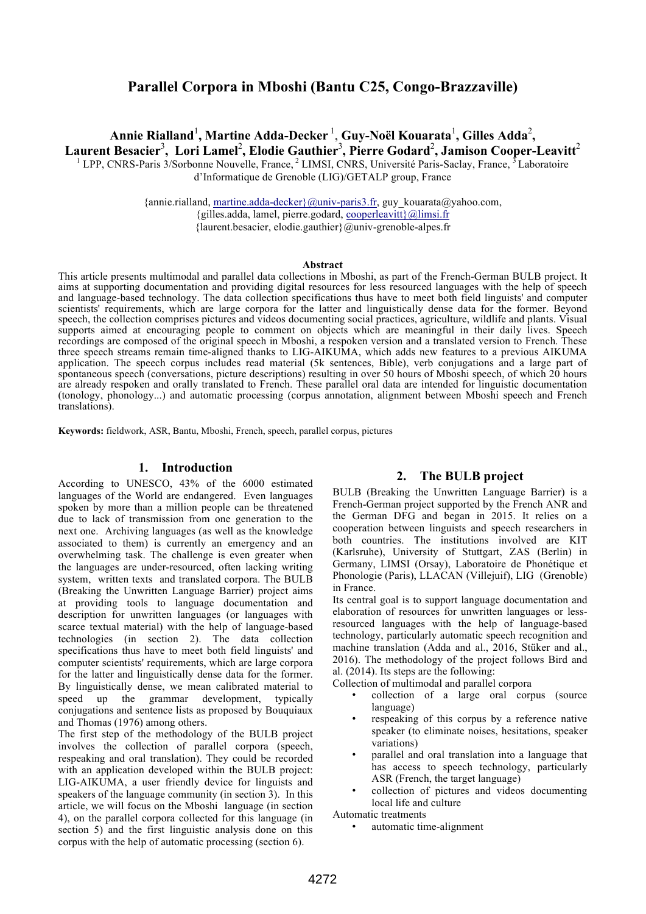# **Parallel Corpora in Mboshi (Bantu C25, Congo-Brazzaville)**

Annie Rialland<sup>1</sup>, Martine Adda-Decker <sup>1</sup>, Guy-Noël Kouarata<sup>1</sup>, Gilles Adda<sup>2</sup>, **Laurent Besacier**<sup>3</sup> **, Lori Lamel**<sup>2</sup> **, Elodie Gauthier**<sup>3</sup> **, Pierre Godard**<sup>2</sup> **, Jamison Cooper-Leavitt**<sup>2</sup> <sup>1</sup> LPP, CNRS-Paris 3/Sorbonne Nouvelle, France, <sup>2</sup> LIMSI, CNRS, Université Paris-Saclay, France, <sup>5</sup> Laboratoire d'Informatique de Grenoble (LIG)/GETALP group, France

> {annie.rialland, martine.adda-decker}@univ-paris3.fr, guy\_kouarata@yahoo.com, {gilles.adda, lamel, pierre.godard, cooperleavitt}@limsi.fr {laurent.besacier, elodie.gauthier}@univ-grenoble-alpes.fr

#### **Abstract**

This article presents multimodal and parallel data collections in Mboshi, as part of the French-German BULB project. It aims at supporting documentation and providing digital resources for less resourced languages with the help of speech and language-based technology. The data collection specifications thus have to meet both field linguists' and computer scientists' requirements, which are large corpora for the latter and linguistically dense data for the former. Beyond speech, the collection comprises pictures and videos documenting social practices, agriculture, wildlife and plants. Visual supports aimed at encouraging people to comment on objects which are meaningful in their daily lives. Speech recordings are composed of the original speech in Mboshi, a respoken version and a translated version to French. These three speech streams remain time-aligned thanks to LIG-AIKUMA, which adds new features to a previous AIKUMA application. The speech corpus includes read material (5k sentences, Bible), verb conjugations and a large part of spontaneous speech (conversations, picture descriptions) resulting in over 50 hours of Mboshi speech, of which 20 hours are already respoken and orally translated to French. These parallel oral data are intended for linguistic documentation (tonology, phonology...) and automatic processing (corpus annotation, alignment between Mboshi speech and French translations).

**Keywords:** fieldwork, ASR, Bantu, Mboshi, French, speech, parallel corpus, pictures

#### **1. Introduction**

According to UNESCO, 43% of the 6000 estimated languages of the World are endangered. Even languages spoken by more than a million people can be threatened due to lack of transmission from one generation to the next one. Archiving languages (as well as the knowledge associated to them) is currently an emergency and an overwhelming task. The challenge is even greater when the languages are under-resourced, often lacking writing system, written texts and translated corpora. The BULB (Breaking the Unwritten Language Barrier) project aims at providing tools to language documentation and description for unwritten languages (or languages with scarce textual material) with the help of language-based technologies (in section 2). The data collection specifications thus have to meet both field linguists' and computer scientists' requirements, which are large corpora for the latter and linguistically dense data for the former. By linguistically dense, we mean calibrated material to speed up the grammar development, typically conjugations and sentence lists as proposed by Bouquiaux and Thomas (1976) among others.

The first step of the methodology of the BULB project involves the collection of parallel corpora (speech, respeaking and oral translation). They could be recorded with an application developed within the BULB project: LIG-AIKUMA, a user friendly device for linguists and speakers of the language community (in section 3). In this article, we will focus on the Mboshi language (in section 4), on the parallel corpora collected for this language (in section 5) and the first linguistic analysis done on this corpus with the help of automatic processing (section 6).

### **2. The BULB project**

BULB (Breaking the Unwritten Language Barrier) is a French-German project supported by the French ANR and the German DFG and began in 2015. It relies on a cooperation between linguists and speech researchers in both countries. The institutions involved are KIT (Karlsruhe), University of Stuttgart, ZAS (Berlin) in Germany, LIMSI (Orsay), Laboratoire de Phonétique et Phonologie (Paris), LLACAN (Villejuif), LIG (Grenoble) in France.

Its central goal is to support language documentation and elaboration of resources for unwritten languages or lessresourced languages with the help of language-based technology, particularly automatic speech recognition and machine translation (Adda and al., 2016, Stüker and al., 2016). The methodology of the project follows Bird and al. (2014). Its steps are the following:

Collection of multimodal and parallel corpora

- collection of a large oral corpus (source language)
- respeaking of this corpus by a reference native speaker (to eliminate noises, hesitations, speaker variations)
- parallel and oral translation into a language that has access to speech technology, particularly ASR (French, the target language)
- collection of pictures and videos documenting local life and culture

Automatic treatments

automatic time-alignment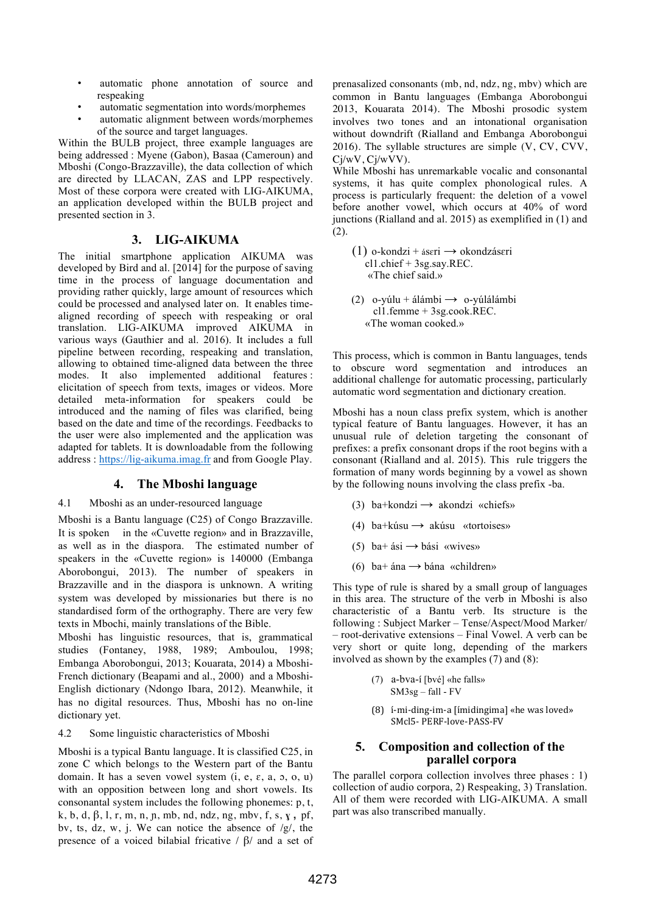- automatic phone annotation of source and respeaking
- automatic segmentation into words/morphemes
- automatic alignment between words/morphemes of the source and target languages.

Within the BULB project, three example languages are being addressed : Myene (Gabon), Basaa (Cameroun) and Mboshi (Congo-Brazzaville), the data collection of which are directed by LLACAN, ZAS and LPP respectively. Most of these corpora were created with LIG-AIKUMA, an application developed within the BULB project and presented section in 3.

# **3. LIG-AIKUMA**

The initial smartphone application AIKUMA was developed by Bird and al. [2014] for the purpose of saving time in the process of language documentation and providing rather quickly, large amount of resources which could be processed and analysed later on. It enables timealigned recording of speech with respeaking or oral translation. LIG-AIKUMA improved AIKUMA in various ways (Gauthier and al. 2016). It includes a full pipeline between recording, respeaking and translation, allowing to obtained time-aligned data between the three modes. It also implemented additional features : elicitation of speech from texts, images or videos. More detailed meta-information for speakers could be introduced and the naming of files was clarified, being based on the date and time of the recordings. Feedbacks to the user were also implemented and the application was adapted for tablets. It is downloadable from the following address : https://lig-aikuma.imag.fr and from Google Play.

# **4. The Mboshi language**

### 4.1 Mboshi as an under-resourced language

Mboshi is a Bantu language (C25) of Congo Brazzaville. It is spoken in the «Cuvette region» and in Brazzaville, as well as in the diaspora. The estimated number of speakers in the «Cuvette region» is 140000 (Embanga Aborobongui, 2013). The number of speakers in Brazzaville and in the diaspora is unknown. A writing system was developed by missionaries but there is no standardised form of the orthography. There are very few texts in Mbochi, mainly translations of the Bible.

Mboshi has linguistic resources, that is, grammatical studies (Fontaney, 1988, 1989; Amboulou, 1998; Embanga Aborobongui, 2013; Kouarata, 2014) a Mboshi-French dictionary (Beapami and al., 2000) and a Mboshi-English dictionary (Ndongo Ibara, 2012). Meanwhile, it has no digital resources. Thus, Mboshi has no on-line dictionary yet.

### 4.2 Some linguistic characteristics of Mboshi

Mboshi is a typical Bantu language. It is classified C25, in zone C which belongs to the Western part of the Bantu domain. It has a seven vowel system  $(i, e, \varepsilon, a, 5, o, u)$ with an opposition between long and short vowels. Its consonantal system includes the following phonemes: p, t, k, b, d, β, l, r, m, n, ɲ, mb, nd, ndz, ng, mbv, f, s, **ɣ ,** pf, bv, ts, dz, w, j. We can notice the absence of /g/, the presence of a voiced bilabial fricative / β/ and a set of prenasalized consonants (mb, nd, ndz, ng, mbv) which are common in Bantu languages (Embanga Aborobongui 2013, Kouarata 2014). The Mboshi prosodic system involves two tones and an intonational organisation without downdrift (Rialland and Embanga Aborobongui 2016). The syllable structures are simple (V, CV, CVV, Cj/wV, Cj/wVV).

While Mboshi has unremarkable vocalic and consonantal systems, it has quite complex phonological rules. A process is particularly frequent: the deletion of a vowel before another vowel, which occurs at 40% of word junctions (Rialland and al. 2015) as exemplified in (1) and (2).

- (1) o-kondzi + áseri  $\rightarrow$  okondzáseri<br>cl1.chief + 3sg.say.REC. «The chief said.»
- (2) o-yúlu + álámbi  $\rightarrow$  o-yúlálámbi cl1.femme + 3sg.cook.REC. «The woman cooked.»

This process, which is common in Bantu languages, tends to obscure word segmentation and introduces an additional challenge for automatic processing, particularly automatic word segmentation and dictionary creation.

Mboshi has a noun class prefix system, which is another typical feature of Bantu languages. However, it has an unusual rule of deletion targeting the consonant of prefixes: a prefix consonant drops if the root begins with a consonant (Rialland and al. 2015). This rule triggers the formation of many words beginning by a vowel as shown by the following nouns involving the class prefix -ba.

- (3) ba+kondzi  $\rightarrow$  akondzi «chiefs»
- (4) ba+kúsu  $\rightarrow$  akúsu «tortoises»
- (5) ba+ ási  $\rightarrow$  bási «wives»
- (6) ba+ ána  $\rightarrow$  bána «children»

This type of rule is shared by a small group of languages in this area. The structure of the verb in Mboshi is also characteristic of a Bantu verb. Its structure is the following : Subject Marker – Tense/Aspect/Mood Marker/ – root-derivative extensions – Final Vowel. A verb can be very short or quite long, depending of the markers involved as shown by the examples (7) and (8):

- (7) a-bva-í [bvé] «he falls» SM3sg – fall - FV
- $(8)$  i-mi-ding-im-a [imidingima] «he was loved» SMcl5- PERF-love-PASS-FV

# **5. Composition and collection of the parallel corpora**

The parallel corpora collection involves three phases : 1) collection of audio corpora, 2) Respeaking, 3) Translation. All of them were recorded with LIG-AIKUMA. A small part was also transcribed manually.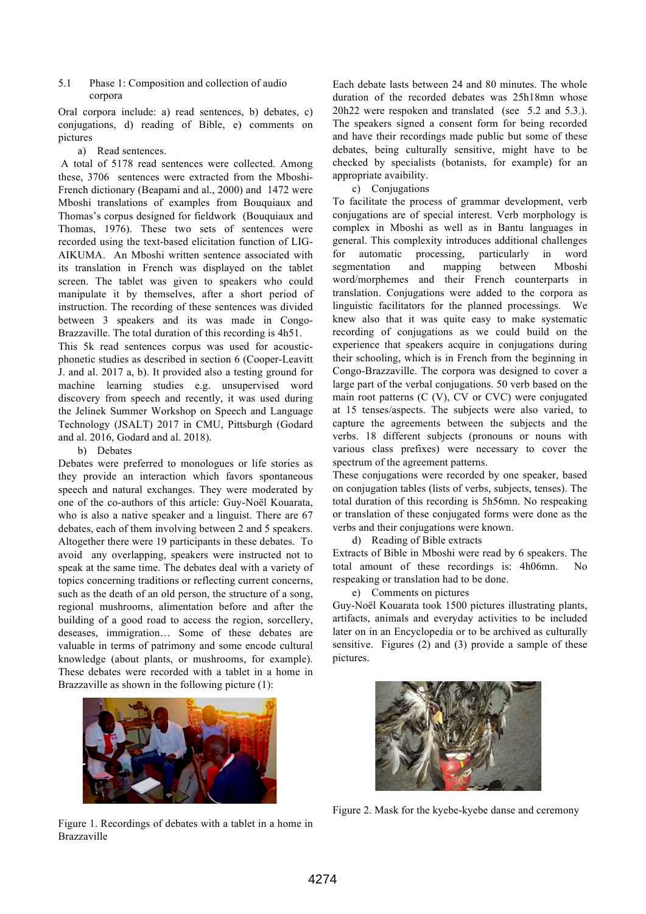#### 5.1 Phase 1: Composition and collection of audio corpora

Oral corpora include: a) read sentences, b) debates, c) conjugations, d) reading of Bible, e) comments on pictures

### a) Read sentences.

A total of 5178 read sentences were collected. Among these, 3706 sentences were extracted from the Mboshi-French dictionary (Beapami and al., 2000) and 1472 were Mboshi translations of examples from Bouquiaux and Thomas's corpus designed for fieldwork (Bouquiaux and Thomas, 1976). These two sets of sentences were recorded using the text-based elicitation function of LIG-AIKUMA. An Mboshi written sentence associated with its translation in French was displayed on the tablet screen. The tablet was given to speakers who could manipulate it by themselves, after a short period of instruction. The recording of these sentences was divided between 3 speakers and its was made in Congo-Brazzaville. The total duration of this recording is 4h51.

This 5k read sentences corpus was used for acousticphonetic studies as described in section 6 (Cooper-Leavitt J. and al. 2017 a, b). It provided also a testing ground for machine learning studies e.g. unsupervised word discovery from speech and recently, it was used during the Jelinek Summer Workshop on Speech and Language Technology (JSALT) 2017 in CMU, Pittsburgh (Godard and al. 2016, Godard and al. 2018).

### b) Debates

Debates were preferred to monologues or life stories as they provide an interaction which favors spontaneous speech and natural exchanges. They were moderated by one of the co-authors of this article: Guy-Noël Kouarata, who is also a native speaker and a linguist. There are 67 debates, each of them involving between 2 and 5 speakers. Altogether there were 19 participants in these debates. To avoid any overlapping, speakers were instructed not to speak at the same time. The debates deal with a variety of topics concerning traditions or reflecting current concerns, such as the death of an old person, the structure of a song, regional mushrooms, alimentation before and after the building of a good road to access the region, sorcellery, deseases, immigration… Some of these debates are valuable in terms of patrimony and some encode cultural knowledge (about plants, or mushrooms, for example). These debates were recorded with a tablet in a home in Brazzaville as shown in the following picture (1):



Figure 1. Recordings of debates with a tablet in a home in Brazzaville

Each debate lasts between 24 and 80 minutes. The whole duration of the recorded debates was 25h18mn whose 20h22 were respoken and translated (see 5.2 and 5.3.). The speakers signed a consent form for being recorded and have their recordings made public but some of these debates, being culturally sensitive, might have to be checked by specialists (botanists, for example) for an appropriate avaibility.

#### c) Conjugations

To facilitate the process of grammar development, verb conjugations are of special interest. Verb morphology is complex in Mboshi as well as in Bantu languages in general. This complexity introduces additional challenges for automatic processing, particularly in word segmentation and mapping between Mboshi word/morphemes and their French counterparts in translation. Conjugations were added to the corpora as linguistic facilitators for the planned processings. We knew also that it was quite easy to make systematic recording of conjugations as we could build on the experience that speakers acquire in conjugations during their schooling, which is in French from the beginning in Congo-Brazzaville. The corpora was designed to cover a large part of the verbal conjugations. 50 verb based on the main root patterns (C (V), CV or CVC) were conjugated at 15 tenses/aspects. The subjects were also varied, to capture the agreements between the subjects and the verbs. 18 different subjects (pronouns or nouns with various class prefixes) were necessary to cover the spectrum of the agreement patterns.

These conjugations were recorded by one speaker, based on conjugation tables (lists of verbs, subjects, tenses). The total duration of this recording is 5h56mn. No respeaking or translation of these conjugated forms were done as the verbs and their conjugations were known.

#### d) Reading of Bible extracts

Extracts of Bible in Mboshi were read by 6 speakers. The total amount of these recordings is: 4h06mn. No respeaking or translation had to be done.

### e) Comments on pictures

Guy-Noël Kouarata took 1500 pictures illustrating plants, artifacts, animals and everyday activities to be included later on in an Encyclopedia or to be archived as culturally sensitive. Figures (2) and (3) provide a sample of these pictures.



Figure 2. Mask for the kyebe-kyebe danse and ceremony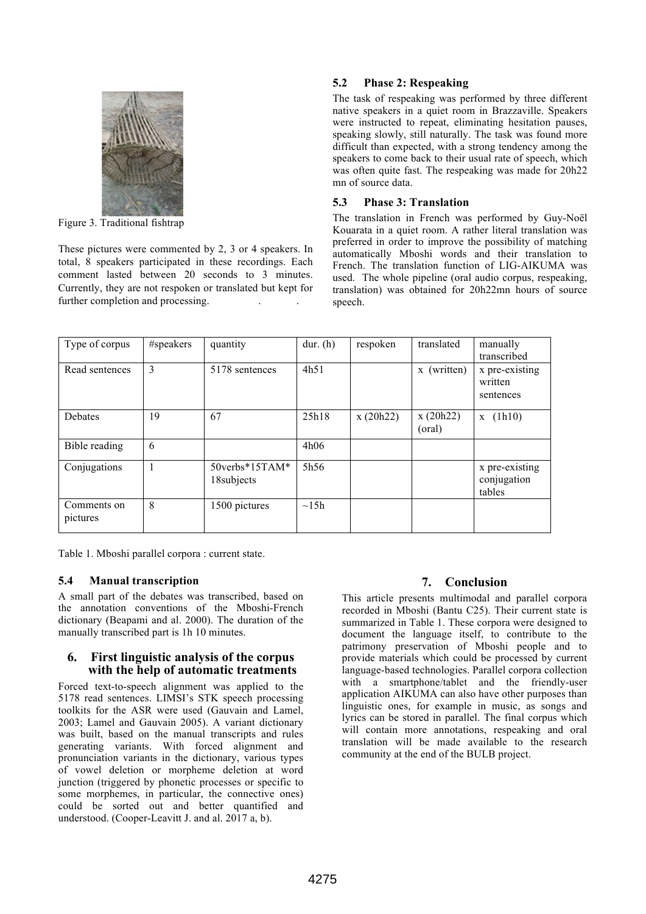

Figure 3. Traditional fishtrap

These pictures were commented by 2, 3 or 4 speakers. In total, 8 speakers participated in these recordings. Each comment lasted between 20 seconds to 3 minutes. Currently, they are not respoken or translated but kept for further completion and processing.

# **5.2 Phase 2: Respeaking**

The task of respeaking was performed by three different native speakers in a quiet room in Brazzaville. Speakers were instructed to repeat, eliminating hesitation pauses, speaking slowly, still naturally. The task was found more difficult than expected, with a strong tendency among the speakers to come back to their usual rate of speech, which was often quite fast. The respeaking was made for 20h22 mn of source data.

# **5.3 Phase 3: Translation**

The translation in French was performed by Guy-Noël Kouarata in a quiet room. A rather literal translation was preferred in order to improve the possibility of matching automatically Mboshi words and their translation to French. The translation function of LIG-AIKUMA was used. The whole pipeline (oral audio corpus, respeaking, translation) was obtained for 20h22mn hours of source speech.

| Type of corpus          | #speakers | quantity                            | dur. $(h)$ | respoken | translated                | manually<br>transcribed                 |
|-------------------------|-----------|-------------------------------------|------------|----------|---------------------------|-----------------------------------------|
| Read sentences          | 3         | 5178 sentences                      | 4h51       |          | (written)<br>$\mathbf{X}$ | x pre-existing<br>written<br>sentences  |
| Debates                 | 19        | 67                                  | 25h18      | x(20h22) | x(20h22)<br>(oral)        | (lh10)<br>$\mathbf{X}$                  |
| Bible reading           | 6         |                                     | 4h06       |          |                           |                                         |
| Conjugations            |           | $50$ verbs* $15TAM*$<br>18 subjects | 5h56       |          |                           | x pre-existing<br>conjugation<br>tables |
| Comments on<br>pictures | 8         | 1500 pictures                       | $\sim$ 15h |          |                           |                                         |

Table 1. Mboshi parallel corpora : current state.

# **5.4 Manual transcription**

A small part of the debates was transcribed, based on the annotation conventions of the Mboshi-French dictionary (Beapami and al. 2000). The duration of the manually transcribed part is 1h 10 minutes.

# **6. First linguistic analysis of the corpus with the help of automatic treatments**

Forced text-to-speech alignment was applied to the 5178 read sentences. LIMSI's STK speech processing toolkits for the ASR were used (Gauvain and Lamel, 2003; Lamel and Gauvain 2005). A variant dictionary was built, based on the manual transcripts and rules generating variants. With forced alignment and pronunciation variants in the dictionary, various types of vowel deletion or morpheme deletion at word junction (triggered by phonetic processes or specific to some morphemes, in particular, the connective ones) could be sorted out and better quantified and understood. (Cooper-Leavitt J. and al. 2017 a, b).

# **7. Conclusion**

This article presents multimodal and parallel corpora recorded in Mboshi (Bantu C25). Their current state is summarized in Table 1. These corpora were designed to document the language itself, to contribute to the patrimony preservation of Mboshi people and to provide materials which could be processed by current language-based technologies. Parallel corpora collection with a smartphone/tablet and the friendly-user application AIKUMA can also have other purposes than linguistic ones, for example in music, as songs and lyrics can be stored in parallel. The final corpus which will contain more annotations, respeaking and oral translation will be made available to the research community at the end of the BULB project.